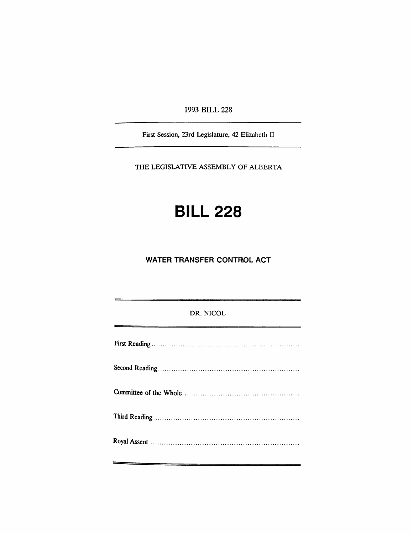1993 BILL 228

First Session, 23rd Legislature, 42 Elizabeth II

THE LEGISLATIVE ASSEMBLY OF ALBERTA

# **BILL 228**

## **WATER TRANSFER CONTROL ACT**

## DR. NICOL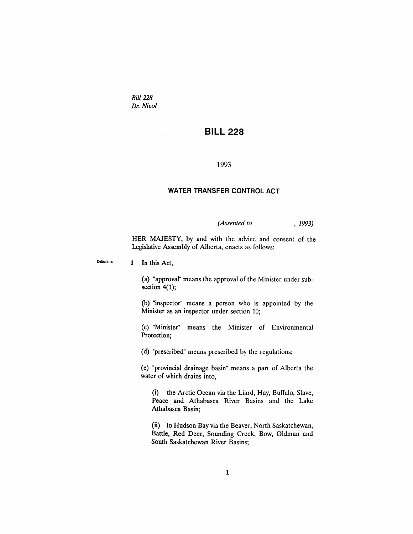*Bill 228 Dr. Nicol*

# **BILL 228**

### 1993

### **WATER TRANSFER CONTROL ACT**

*(Assented to* , 1993)

HER MAJESTY, by and with the advice and consent of the Legislative Assembly of Alberta, enacts as follows:

Definitions 1 In this Act,

> (a) "approval" means the approval of the Minister under subsection  $4(1)$ ;

> (b) "inspector" means a person who is appointed by the Minister as an inspector under section 10;

> (C) "Minister" means the Minister of Environmental Protection;

(d) "prescribed" means prescribed by the regulations;

(e) "provincial drainage basin" means a part of Alberta the water of which drains into,

(i) the Arctic Ocean via the Liard, Hay, Buffalo, Slave, Peace and Athabasca River Basins and the Lake Athabasca Basin;

(ii) to Hudson Bay via the Beaver, North Saskatchewan, Battle, Red Deer, Sounding Creek, Bow, Oldman and South Saskatchewan River Basins;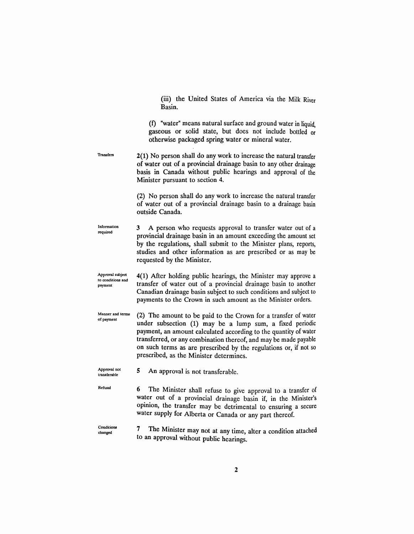(iii) the United States of America via the Milk River Basin.

(f) "water" means natural surface and ground water in liquid, gaseous or solid state, but does not include bottled or otherwise packaged spring water or mineral water.

**Transfers** 2(1) No person shall do any work to increase the natural transfer of water out of a provincial drainage basin to any other drainage basis in Canada without public hearings and approval of the Minister pursuant to section 4.

> (2) No person shall do any work to increase the natural transfer of water out of a provincial drainage basin to a drainage basin outside Canada.

Information required 3 A person who requests approval to transfer water out of a provincial drainage basin in an amount exceeding the amount set by the regulations, shall submit to the Minister plans, reports, studies and other information as are prescribed or as may be requested by the Minister.

Approval subject to conditions and payment 4(1) After holding public hearings, the Minister may approve a transfer of water out of a provincial drainage basin to another Canadian drainage basin subject to such conditions and subject to payments to the Crown in such amount as the Minister orders.

Manner and terms of payment (2) The amount to be paid to the Crown for a transfer of water under subsection (1) may be a lump sum, a fixed periodic payment, an amount calculated according to the quantity of water transferred, or any combination thereof, and may be made payable on such terms as are prescribed by the regulations or, if not so prescribed, as the Minister determines.

Approval not transferable 5 An approval is not transferable.

Refusal 6 The Minister shall refuse to give approval to a transfer of water out of a provincial drainage basin if, in the Minister's opinion, the transfer may be detrimental to ensuring a secure water supply for Alberta or Canada or any part thereof.

Conditions changed

7 The Minister may not at any time, alter a condition attached to an approval without public hearings.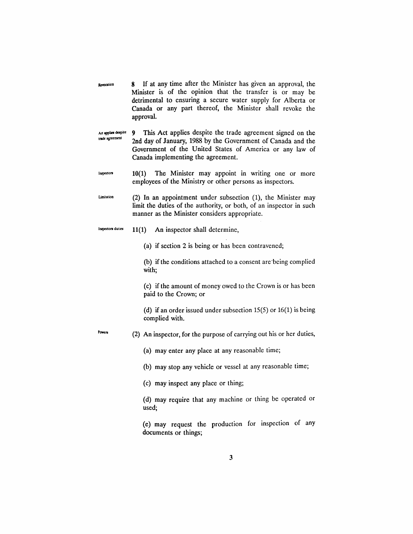- **Revocation** 8 If at any time after the Minister has given an approval, the Minister is of the opinion that the transfer is or may be detrimental to ensuring a secure water supply for Alberta or Canada or any part thereof, the Minister shall revoke the approval.
- Act applies despite trade agreement 9 This Act applies despite the trade agreement signed on the 2nd day of January, 1988 by the Government of Canada and the Government of the United States of America or any law of Canada implementing the agreement.
- Inspeclon 10(1) The Minister may appoint in writing one or more employees of the Ministry or other persons as inspectors.
- **Umitation** (2) In an appointment under subsection (1), the Minister may limit the duties of the authority, or both, of an inspector in such manner as the Minister considers appropriate.
- Inspectors duties  $11(1)$  An inspector shall determine,

(a) if section 2 is being or has been contravened;

(b) if the conditions attached to a consent are·being complied with;

(c) if the amount of money owed to the Crown is or has been paid to the Crown; or

(d) if an order issued under subsection  $15(5)$  or  $16(1)$  is being complied with.

Powers (2) An inspector, for the purpose of carrying out his or her duties,

(a) may enter any place at any reasonable time;

(b) may stop any vehicle or vessel at any reasonable time;

(c) may inspect any place or thing;

(d) may require that any machine or thing be operated or used;

(e) may request the production for inspection of any documents or things;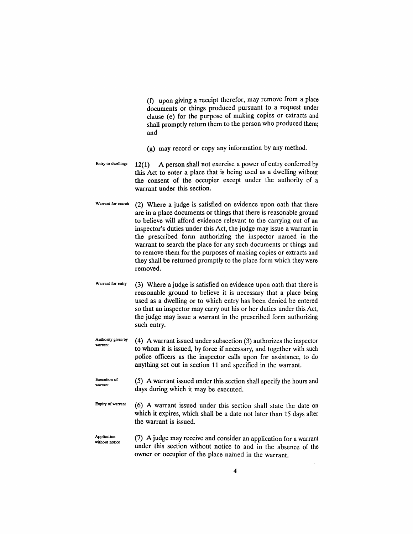(f) upon giving a receipt therefor, may remove from a place documents or things produced pursuant to a request under clause (e) for the purpose of making copies or extracts and shall promptly return them to the person who produced them; and

(g) may record or copy any information by any method.

- Entry to dwellings 12(1) A person shall not exercise a power of entry conferred by this Act to enter a place that is being used as a dwelling without the consent of the occupier except under the authority of a warrant under this section.
- Warrant for search (2) Where a judge is satisfied on evidence upon oath that there are in a place documents or things that there is reasonable ground to believe will afford evidence relevant to the carrying out of an inspector's duties under this Act, the judge may issue a warrant in the prescribed form authorizing the inspector named in the warrant to search the place for any such documents or things and to remove them for the purposes of making copies or extracts and they shall be returned promptly to the place form which they were removed.
- Warrant for entry (3) Where a judge is satisfied on evidence upon oath that there is reasonable ground to believe it is necessary that a place being used as a dwelling or to which entry has been denied be entered so that an inspector may carry out his or her duties under this Act, the judge may issue a warrant in the prescribed form authorizing such entry.
- Authority given by warrant (4) A warrant issued under subsection (3) authorizes the inspector to whom it is issued, by force if necessary, and together with such police officers as the inspector calls upon for assistance, to do anything set out in section 11 and specified in the warrant.
- Execution of warrant (5) A warrant issued under this section shall specify the hours and days during which it may be executed.
- Expiry of warrant (6) A warrant issued under this section shall state the date on which it expires, which shall be a date not later than 15 days after the warrant is issued.
- Application without notice (7) A judge may receive and consider an application for a warrant under this section without notice to and in the absence of the owner or occupier of the place named in the warrant.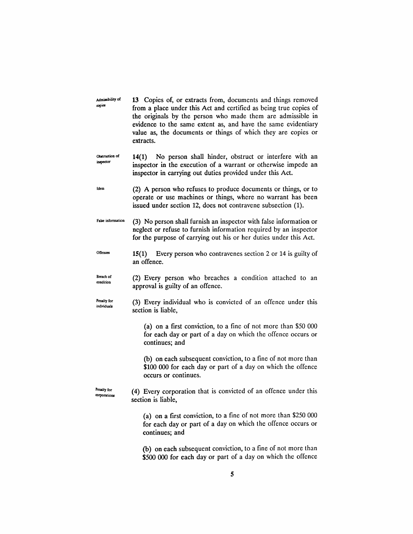Admissibility of copies 13 Copies of, or extracts from, documents and things removed from a place under this Act and certified as being true copies of the originals by the person who made them are admissible in evidence to the same extent as, and have the same evidentiary value as, the documents or things of which they are copies or extracts.

Obstruction of inspedor 14(1) No person shall hinder, obstruct or interfere with an inspector in the execution of a warrant or otherwise impede an inspector in carrying out duties provided under this Act.

Idem (2) A person who refuses to produce documents or things, or to operate or use machines or things, where no warrant has been issued under section 12, does not contravene subsection (1).

False information (3) No person shall furnish an inspector with false information or neglect or refuse to furnish information required by an inspector for the purpose of carrying out his or her duties under this Act.

**Offences** 15(1) Every person who contravenes section 2 or 14 is guilty of an offence.

Breach of condition (2) Every person who breaches a condition attached to an approval is guilty of an offence.

Penalty for individuals (3) Every individual who is convicted of an offence under this section is liable,

> (a) on a first conviction, to a fine of not more than \$50 000 for each day or part of a day on which the offence occurs or continues; and

> (b) on each subsequent conviction, to a fine of not more than \$100 000 for each day or part of a day on which the offence occurs or continues.

Penalty for corporations (4) Every corporation that is convicted of an offence under this section is liable,

> (a) on a first conviction, to a fine of not more than \$250 000 for each day or part of a day on which the offence occurs or continues; and

> (b) on each subsequent conviction, to a fine of not more than \$500 000 for each day or part of a day on which the offence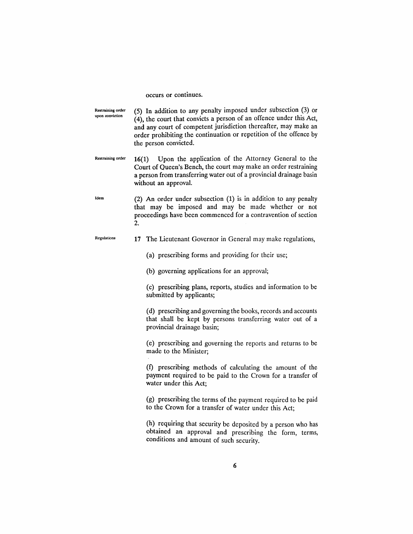occurs or continues.

Restraining order upon oonviction (5) In addition to any penalty imposed under subsection (3) or (4), the court that convicts a person of an offence under this Act, and any court of competent jurisdiction thereafter, may make an order prohibiting the continuation or repetition of the offence by the person convicted.

Restraining order 16(1) Upon the application of the Attorney General to the Court of Queen's Bench, the court may make an order restraining a person from transferring water out of a provincial drainage basin without an approval.

Idem (2) An order under subsection (1) is in addition to any penalty that may be imposed and may be made whether or not proceedings have been commenced for a contravention of section 2.

Regulations

17 The Lieutenant Governor in General may make regulations,

(a) prescribing forms and providing for their use;

(b) governing applications for an approval;

(c) prescribing plans, reports, studies and information to be submitted by applicants;

(d) prescribing and governing the books, records and accounts that shall be kept by persons transferring water out of a provincial drainage basin;

(e) prescribing and governing the reports and returns to be made to the Minister;

(f) prescribing methods of calculating the amount of the payment required to be paid to the Crown for a transfer of water under this Act;

(g) prescribing the terms of the payment required to be paid to the Crown for a transfer of water under this Act;

(h) requiring that security be deposited by a person who has obtained an approval and prescribing the form, terms, conditions and amount of such security.